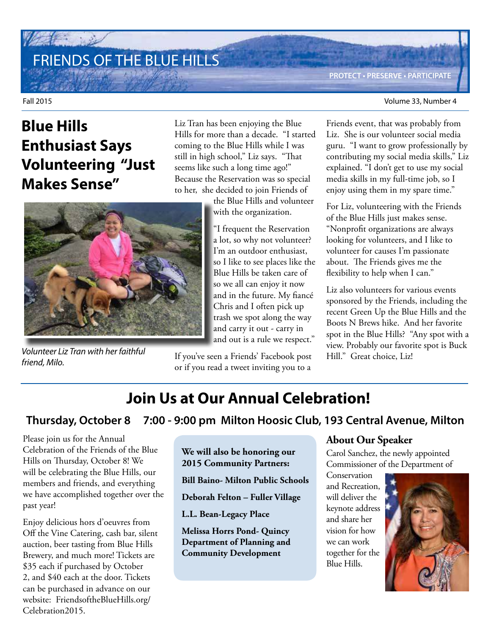# FRIENDS OF THE BLUE HILLS

Fall 2015 Volume 33, Number 4

# **Blue Hills Enthusiast Says Volunteering "Just Makes Sense"**

Liz Tran has been enjoying the Blue Hills for more than a decade. "I started coming to the Blue Hills while I was still in high school," Liz says. "That seems like such a long time ago!" Because the Reservation was so special to her, she decided to join Friends of

> the Blue Hills and volunteer with the organization.

"I frequent the Reservation a lot, so why not volunteer? I'm an outdoor enthusiast, so I like to see places like the Blue Hills be taken care of so we all can enjoy it now and in the future. My fiancé Chris and I often pick up trash we spot along the way and carry it out - carry in and out is a rule we respect."

If you've seen a Friends' Facebook post or if you read a tweet inviting you to a

Friends event, that was probably from Liz. She is our volunteer social media guru. "I want to grow professionally by contributing my social media skills," Liz explained. "I don't get to use my social media skills in my full-time job, so I enjoy using them in my spare time."

For Liz, volunteering with the Friends of the Blue Hills just makes sense. "Nonprofit organizations are always looking for volunteers, and I like to volunteer for causes I'm passionate about. The Friends gives me the flexibility to help when I can."

Liz also volunteers for various events sponsored by the Friends, including the recent Green Up the Blue Hills and the Boots N Brews hike. And her favorite spot in the Blue Hills? "Any spot with a view. Probably our favorite spot is Buck Hill." Great choice, Liz!

# **Join Us at Our Annual Celebration!**

**Thursday, October 8 7:00 - 9:00 pm Milton Hoosic Club, 193 Central Avenue, Milton**

Please join us for the Annual Celebration of the Friends of the Blue Hills on Thursday, October 8! We will be celebrating the Blue Hills, our members and friends, and everything we have accomplished together over the past year!

Enjoy delicious hors d'oeuvres from Off the Vine Catering, cash bar, silent auction, beer tasting from Blue Hills Brewery, and much more! Tickets are \$35 each if purchased by October 2, and \$40 each at the door. Tickets can be purchased in advance on our website: FriendsoftheBlueHills.org/ Celebration2015.

#### **We will also be honoring our 2015 Community Partners:**

**Bill Baino- Milton Public Schools**

**Deborah Felton – Fuller Village**

**L.L. Bean-Legacy Place**

**Melissa Horrs Pond- Quincy Department of Planning and Community Development** 

#### **About Our Speaker**

Carol Sanchez, the newly appointed Commissioner of the Department of

Conservation and Recreation, will deliver the keynote address and share her vision for how we can work together for the Blue Hills.





*Volunteer Liz Tran with her faithful friend, Milo.*

**PROTECT • PRESERVE • PARTICIPATE**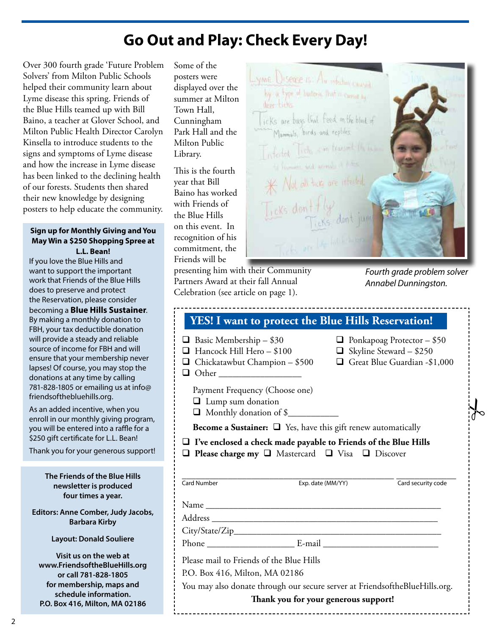### **Go Out and Play: Check Every Day!**

Over 300 fourth grade 'Future Problem Solvers' from Milton Public Schools helped their community learn about Lyme disease this spring. Friends of the Blue Hills teamed up with Bill Baino, a teacher at Glover School, and Milton Public Health Director Carolyn Kinsella to introduce students to the signs and symptoms of Lyme disease and how the increase in Lyme disease has been linked to the declining health of our forests. Students then shared their new knowledge by designing posters to help educate the community.

#### **Sign up for Monthly Giving and You May Win a \$250 Shopping Spree at L.L. Bean!**

If you love the Blue Hills and want to support the important work that Friends of the Blue Hills does to preserve and protect the Reservation, please consider becoming a **Blue Hills Sustainer**. By making a monthly donation to FBH, your tax deductible donation will provide a steady and reliable source of income for FBH and will ensure that your membership never lapses! Of course, you may stop the donations at any time by calling 781-828-1805 or emailing us at info@ friendsofthebluehills.org.

As an added incentive, when you enroll in our monthly giving program, you will be entered into a raffle for a \$250 gift certificate for L.L. Bean!

Thank you for your generous support!

**The Friends of the Blue Hills newsletter is produced four times a year.**

**Editors: Anne Comber, Judy Jacobs, Barbara Kirby**

**Layout: Donald Souliere**

**Visit us on the web at www.FriendsoftheBlueHills.org or call 781-828-1805 for membership, maps and schedule information. P.O. Box 416, Milton, MA 02186**

Some of the posters were displayed over the summer at Milton Town Hall, Cunningham Park Hall and the Milton Public Library.

This is the fourth year that Bill Baino has worked with Friends of the Blue Hills on this event. In recognition of his commitment, the Friends will be

presenting him with their Community Partners Award at their fall Annual Celebration (see article on page 1).

YME Disease is Au infection caused by a type of budges. But in cases an icks are bugs link feed on the block of Manmals, birds and replies, Infected Ticks and from froman and animals. \* Not all these are infected **Ticks** don

#### *Fourth grade problem solver Annabel Dunningston.*

| YES! I want to protect the Blue Hills Reservation!                                                  |                   |                                                                                                     |  |
|-----------------------------------------------------------------------------------------------------|-------------------|-----------------------------------------------------------------------------------------------------|--|
| $\Box$ Basic Membership - \$30<br>Hancock Hill Hero - \$100<br>$\Box$ Chickatawbut Champion - \$500 |                   | $\Box$ Ponkapoag Protector - \$50<br>$\Box$ Skyline Steward - \$250<br>Great Blue Guardian -\$1,000 |  |
| Payment Frequency (Choose one)<br>$\Box$ Lump sum donation<br>Monthly donation of \$                |                   |                                                                                                     |  |
| <b>Become a Sustainer:</b> $\Box$ Yes, have this gift renew automatically                           |                   |                                                                                                     |  |
| $\Box$ I've enclosed a check made payable to Friends of the Blue Hills                              |                   |                                                                                                     |  |
| $\Box$ Please charge my $\Box$ Mastercard $\Box$ Visa $\Box$ Discover<br><b>Card Number</b>         | Exp. date (MM/YY) | Card security code                                                                                  |  |
|                                                                                                     |                   |                                                                                                     |  |
|                                                                                                     |                   |                                                                                                     |  |
|                                                                                                     |                   |                                                                                                     |  |
| Please mail to Friends of the Blue Hills                                                            |                   |                                                                                                     |  |
| P.O. Box 416, Milton, MA 02186                                                                      |                   |                                                                                                     |  |
| You may also donate through our secure server at FriendsoftheBlueHills.org.                         |                   |                                                                                                     |  |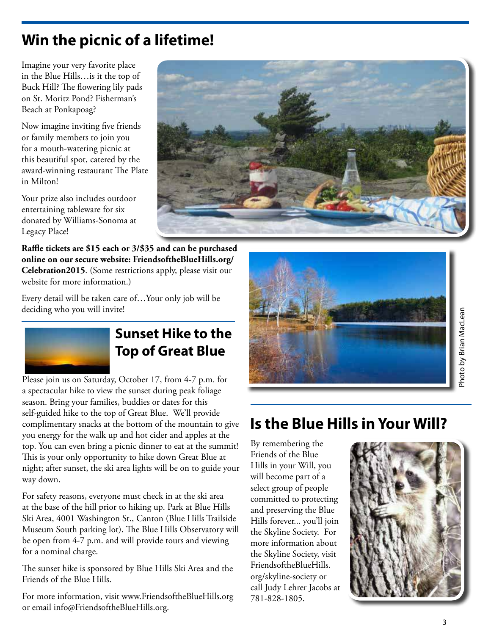# **Win the picnic of a lifetime!**

Imagine your very favorite place in the Blue Hills…is it the top of Buck Hill? The flowering lily pads on St. Moritz Pond? Fisherman's Beach at Ponkapoag?

Now imagine inviting five friends or family members to join you for a mouth-watering picnic at this beautiful spot, catered by the award-winning restaurant The Plate in Milton!

Your prize also includes outdoor entertaining tableware for six donated by Williams-Sonoma at Legacy Place!



**Raffle tickets are \$15 each or 3/\$35 and can be purchased online on our secure website: FriendsoftheBlueHills.org/ Celebration2015**. (Some restrictions apply, please visit our website for more information.)

Every detail will be taken care of…Your only job will be deciding who you will invite!



### **Sunset Hike to the Top of Great Blue**

Please join us on Saturday, October 17, from 4-7 p.m. for a spectacular hike to view the sunset during peak foliage season. Bring your families, buddies or dates for this self-guided hike to the top of Great Blue. We'll provide complimentary snacks at the bottom of the mountain to give you energy for the walk up and hot cider and apples at the top. You can even bring a picnic dinner to eat at the summit! This is your only opportunity to hike down Great Blue at night; after sunset, the ski area lights will be on to guide your way down.

For safety reasons, everyone must check in at the ski area at the base of the hill prior to hiking up. Park at Blue Hills Ski Area, 4001 Washington St., Canton (Blue Hills Trailside Museum South parking lot). The Blue Hills Observatory will be open from 4-7 p.m. and will provide tours and viewing for a nominal charge.

The sunset hike is sponsored by Blue Hills Ski Area and the Friends of the Blue Hills.

For more information, visit www.FriendsoftheBlueHills.org or email info@FriendsoftheBlueHills.org.



### **Is the Blue Hills in Your Will?**

By remembering the Friends of the Blue Hills in your Will, you will become part of a select group of people committed to protecting and preserving the Blue Hills forever... you'll join the Skyline Society. For more information about the Skyline Society, visit FriendsoftheBlueHills. org/skyline-society or call Judy Lehrer Jacobs at 781-828-1805.

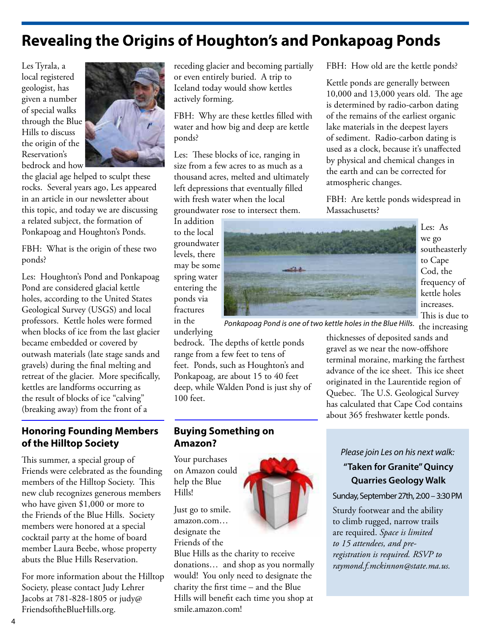### **Revealing the Origins of Houghton's and Ponkapoag Ponds**

Les Tyrala, a local registered geologist, has given a number of special walks through the Blue Hills to discuss the origin of the Reservation's bedrock and how



the glacial age helped to sculpt these rocks. Several years ago, Les appeared in an article in our newsletter about this topic, and today we are discussing a related subject, the formation of Ponkapoag and Houghton's Ponds.

FBH: What is the origin of these two ponds?

Les: Houghton's Pond and Ponkapoag Pond are considered glacial kettle holes, according to the United States Geological Survey (USGS) and local professors. Kettle holes were formed when blocks of ice from the last glacier became embedded or covered by outwash materials (late stage sands and gravels) during the final melting and retreat of the glacier. More specifically, kettles are landforms occurring as the result of blocks of ice "calving" (breaking away) from the front of a

#### **Honoring Founding Members of the Hilltop Society**

This summer, a special group of Friends were celebrated as the founding members of the Hilltop Society. This new club recognizes generous members who have given \$1,000 or more to the Friends of the Blue Hills. Society members were honored at a special cocktail party at the home of board member Laura Beebe, whose property abuts the Blue Hills Reservation.

For more information about the Hilltop Society, please contact Judy Lehrer Jacobs at 781-828-1805 or judy@ FriendsoftheBlueHills.org.

receding glacier and becoming partially or even entirely buried. A trip to Iceland today would show kettles actively forming.

FBH: Why are these kettles filled with water and how big and deep are kettle ponds?

Les: These blocks of ice, ranging in size from a few acres to as much as a thousand acres, melted and ultimately left depressions that eventually filled with fresh water when the local groundwater rose to intersect them.

In addition to the local groundwater levels, there may be some spring water entering the ponds via fractures in the

underlying

100 feet.



Les: As we go southeasterly to Cape Cod, the frequency of kettle holes increases. This is due to

Ponkapoag Pond is one of two kettle holes in the Blue Hills.  $\,$  the  $\,$ increasing

thicknesses of deposited sands and gravel as we near the now-offshore terminal moraine, marking the farthest advance of the ice sheet. This ice sheet originated in the Laurentide region of Quebec. The U.S. Geological Survey has calculated that Cape Cod contains about 365 freshwater kettle ponds.

FBH: How old are the kettle ponds?

FBH: Are kettle ponds widespread in

Kettle ponds are generally between 10,000 and 13,000 years old. The age is determined by radio-carbon dating of the remains of the earliest organic lake materials in the deepest layers of sediment. Radio-carbon dating is used as a clock, because it's unaffected by physical and chemical changes in the earth and can be corrected for

atmospheric changes.

Massachusetts?

#### *Please join Les on his next walk:*

#### **"Taken for Granite" Quincy Quarries Geology Walk**

Sunday, September 27th, 2:00 – 3:30 PM

Sturdy footwear and the ability to climb rugged, narrow trails are required. *Space is limited to 15 attendees, and preregistration is required. RSVP to raymond.f.mckinnon@state.ma.us.*



bedrock. The depths of kettle ponds range from a few feet to tens of feet. Ponds, such as Houghton's and Ponkapoag, are about 15 to 40 feet deep, while Walden Pond is just shy of

#### **Buying Something on Amazon?**

Your purchases on Amazon could help the Blue Hills!

Just go to smile. amazon.com… designate the Friends of the

Blue Hills as the charity to receive donations… and shop as you normally would! You only need to designate the charity the first time – and the Blue Hills will benefit each time you shop at smile.amazon.com!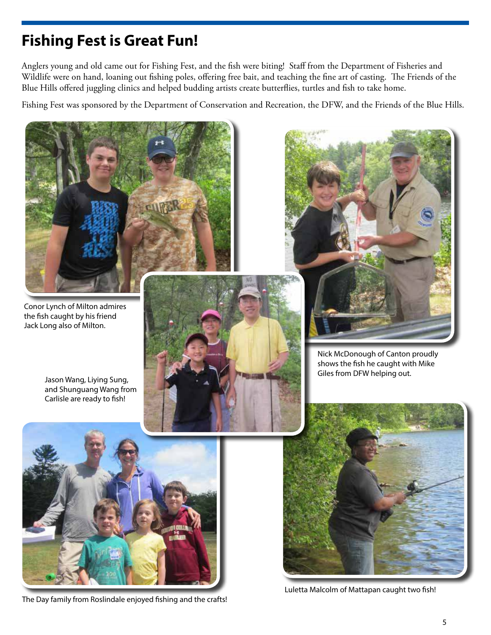# **Fishing Fest is Great Fun!**

Anglers young and old came out for Fishing Fest, and the fish were biting! Staff from the Department of Fisheries and Wildlife were on hand, loaning out fishing poles, offering free bait, and teaching the fine art of casting. The Friends of the Blue Hills offered juggling clinics and helped budding artists create butterflies, turtles and fish to take home.

Fishing Fest was sponsored by the Department of Conservation and Recreation, the DFW, and the Friends of the Blue Hills.



The Day family from Roslindale enjoyed fishing and the crafts!

Luletta Malcolm of Mattapan caught two fish!